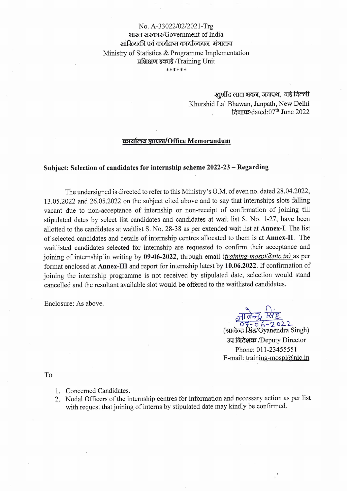## No. A-33022/02/2021-Trg भारत सरकार/Government of India आंञ्लिकी एवं कार्यक्रम कार्यान्वयन मंत्रालय Ministry of Statistics & Programme Implementation प्रशिक्षण इकाई /Training Unit \*\*\*\*\*\*

खर्शीद लाल भवन, जनपथ, नई दिल्ली Khurshid Lal Bhawan, Janpath, New Delhi दिलांक/dated:07<sup>th</sup> June 2022

#### कार्यालय ज्ञापन/Office Memorandum

### Subject: Selection of candidates for internship scheme 2022-23 - Regarding

The undersigned is directed to refer to this Ministry's O.M. of even no. dated 28.04.2022, 13.05.2022 and 26.05.2022 on the subject cited above and to say that internships slots falling vacant due to non-acceptance of internship or non-receipt of confirmation of joining till stipulated dates by select list candidates and candidates at wait list S. No. 1-27, have been allotted to the candidates at waitlist S. No. 28-38 as per extended wait list at Annex-I. The list of selected candidates and details of internship centres allocated to them is at Annex-II. The waitlisted candidates selected for internship are requested to confirm their acceptance and joining of internship in writing by 09-06-2022, through email *(training-mospi@nic.in)* as per format enclosed at Annex-III and report for internship latest by 10.06.2022. If confirmation of joining the internship programme is not received by stipulated date, selection would stand cancelled and the resultant available slot would be offered to the waitlisted candidates.

Enclosure: As above.

 $67 - 66 - 2022$ <br>(ज्ञालेल्द्र सिंह/Gyanendra Singh) उप निदेशक /Deputy Director Phone: 011-23455551 E-mail: training-mospi $@$ nic.in

To

- 1. Concerned Candidates.
- 2. Nodal Officers of the internship centres for information and necessary action as per list with request that joining of interns by stipulated date may kindly be confirmed.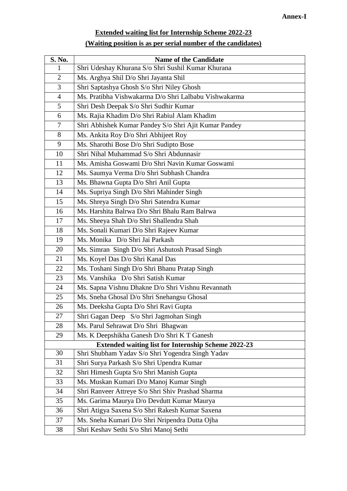# **Extended waiting list for Internship Scheme 2022-23**

|--|

| S. No.                                                     | <b>Name of the Candidate</b>                          |  |  |  |  |
|------------------------------------------------------------|-------------------------------------------------------|--|--|--|--|
| $\mathbf{1}$                                               | Shri Udeshay Khurana S/o Shri Sushil Kumar Khurana    |  |  |  |  |
| $\overline{2}$                                             | Ms. Arghya Shil D/o Shri Jayanta Shil                 |  |  |  |  |
| 3                                                          | Shri Saptashya Ghosh S/o Shri Niley Ghosh             |  |  |  |  |
| $\overline{4}$                                             | Ms. Pratibha Vishwakarma D/o Shri Lalbabu Vishwakarma |  |  |  |  |
| 5                                                          | Shri Desh Deepak S/o Shri Sudhir Kumar                |  |  |  |  |
| 6                                                          | Ms. Rajia Khadim D/o Shri Rabiul Alam Khadim          |  |  |  |  |
| $\overline{7}$                                             | Shri Abhishek Kumar Pandey S/o Shri Ajit Kumar Pandey |  |  |  |  |
| 8                                                          | Ms. Ankita Roy D/o Shri Abhijeet Roy                  |  |  |  |  |
| 9                                                          | Ms. Sharothi Bose D/o Shri Sudipto Bose               |  |  |  |  |
| 10                                                         | Shri Nihal Muhammad S/o Shri Abdunnasir               |  |  |  |  |
| 11                                                         | Ms. Amisha Goswami D/o Shri Navin Kumar Goswami       |  |  |  |  |
| 12                                                         | Ms. Saumya Verma D/o Shri Subhash Chandra             |  |  |  |  |
| 13                                                         | Ms. Bhawna Gupta D/o Shri Anil Gupta                  |  |  |  |  |
| 14                                                         | Ms. Supriya Singh D/o Shri Mahinder Singh             |  |  |  |  |
| 15                                                         | Ms. Shreya Singh D/o Shri Satendra Kumar              |  |  |  |  |
| 16                                                         | Ms. Harshita Balrwa D/o Shri Bhalu Ram Balrwa         |  |  |  |  |
| 17                                                         | Ms. Sheeya Shah D/o Shri Shallendra Shah              |  |  |  |  |
| 18                                                         | Ms. Sonali Kumari D/o Shri Rajeev Kumar               |  |  |  |  |
| 19                                                         | Ms. Monika D/o Shri Jai Parkash                       |  |  |  |  |
| 20                                                         | Ms. Simran Singh D/o Shri Ashutosh Prasad Singh       |  |  |  |  |
| 21                                                         | Ms. Koyel Das D/o Shri Kanal Das                      |  |  |  |  |
| 22                                                         | Ms. Toshani Singh D/o Shri Bhanu Pratap Singh         |  |  |  |  |
| 23                                                         | Ms. Vanshika D/o Shri Satish Kumar                    |  |  |  |  |
| 24                                                         | Ms. Sapna Vishnu Dhakne D/o Shri Vishnu Revannath     |  |  |  |  |
| 25                                                         | Ms. Sneha Ghosal D/o Shri Snehangsu Ghosal            |  |  |  |  |
| 26                                                         | Ms. Deeksha Gupta D/o Shri Ravi Gupta                 |  |  |  |  |
| 27                                                         | Shri Gagan Deep S/o Shri Jagmohan Singh               |  |  |  |  |
| 28                                                         | Ms. Parul Sehrawat D/o Shri Bhagwan                   |  |  |  |  |
| 29                                                         | Ms. K Deepshikha Ganesh D/o Shri K T Ganesh           |  |  |  |  |
| <b>Extended waiting list for Internship Scheme 2022-23</b> |                                                       |  |  |  |  |
| 30                                                         | Shri Shubham Yadav S/o Shri Yogendra Singh Yadav      |  |  |  |  |
| 31                                                         | Shri Surya Parkash S/o Shri Upendra Kumar             |  |  |  |  |
| 32                                                         | Shri Himesh Gupta S/o Shri Manish Gupta               |  |  |  |  |
| 33                                                         | Ms. Muskan Kumari D/o Manoj Kumar Singh               |  |  |  |  |
| 34                                                         | Shri Ranveer Attreye S/o Shri Shiv Prashad Sharma     |  |  |  |  |
| 35                                                         | Ms. Garima Maurya D/o Devdutt Kumar Maurya            |  |  |  |  |
| 36                                                         | Shri Atigya Saxena S/o Shri Rakesh Kumar Saxena       |  |  |  |  |
| 37                                                         | Ms. Sneha Kumari D/o Shri Nripendra Dutta Ojha        |  |  |  |  |
| 38                                                         | Shri Keshav Sethi S/o Shri Manoj Sethi                |  |  |  |  |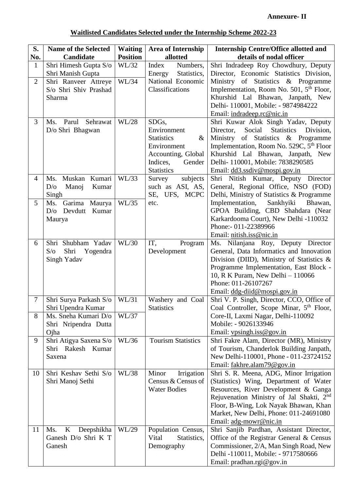| No.<br><b>Position</b><br>allotted<br>details of nodal officer<br>Candidate<br>Shri Himesh Gupta S/o<br>WL/32<br>Shri Indradeep Roy Chowdhury, Deputy<br>Index<br>Numbers,<br>$\mathbf{1}$<br>Director, Economic Statistics Division,<br>Shri Manish Gupta<br>Energy<br>Statistics,<br>National Economic<br>WL/34<br>Ministry of Statistics & Programme<br>$\overline{2}$<br>Shri Ranveer Attreye<br>Implementation, Room No. 501, 5 <sup>th</sup> Floor,<br>S/o Shri Shiv Prashad<br>Classifications<br>Khurshid Lal Bhawan, Janpath, New<br>Sharma<br>Delhi-110001, Mobile: - 9874984222<br>Email: indradeep.rc@nic.in<br>3<br>WL/28<br>Ms. Parul<br>Sehrawat<br>SDGs,<br>Shri Kuwar Alok Singh Yadav, Deputy<br>D/o Shri Bhagwan<br>Environment<br>Social<br><b>Statistics</b><br>Director,<br>Ministry of Statistics & Programme<br><b>Statistics</b><br>$\&$<br>Implementation, Room No. 529C, 5 <sup>th</sup> Floor<br>Environment |  |                    |                                                      |
|------------------------------------------------------------------------------------------------------------------------------------------------------------------------------------------------------------------------------------------------------------------------------------------------------------------------------------------------------------------------------------------------------------------------------------------------------------------------------------------------------------------------------------------------------------------------------------------------------------------------------------------------------------------------------------------------------------------------------------------------------------------------------------------------------------------------------------------------------------------------------------------------------------------------------------------|--|--------------------|------------------------------------------------------|
|                                                                                                                                                                                                                                                                                                                                                                                                                                                                                                                                                                                                                                                                                                                                                                                                                                                                                                                                          |  |                    |                                                      |
|                                                                                                                                                                                                                                                                                                                                                                                                                                                                                                                                                                                                                                                                                                                                                                                                                                                                                                                                          |  |                    |                                                      |
|                                                                                                                                                                                                                                                                                                                                                                                                                                                                                                                                                                                                                                                                                                                                                                                                                                                                                                                                          |  |                    |                                                      |
|                                                                                                                                                                                                                                                                                                                                                                                                                                                                                                                                                                                                                                                                                                                                                                                                                                                                                                                                          |  |                    |                                                      |
|                                                                                                                                                                                                                                                                                                                                                                                                                                                                                                                                                                                                                                                                                                                                                                                                                                                                                                                                          |  |                    |                                                      |
|                                                                                                                                                                                                                                                                                                                                                                                                                                                                                                                                                                                                                                                                                                                                                                                                                                                                                                                                          |  |                    |                                                      |
|                                                                                                                                                                                                                                                                                                                                                                                                                                                                                                                                                                                                                                                                                                                                                                                                                                                                                                                                          |  |                    |                                                      |
|                                                                                                                                                                                                                                                                                                                                                                                                                                                                                                                                                                                                                                                                                                                                                                                                                                                                                                                                          |  |                    |                                                      |
|                                                                                                                                                                                                                                                                                                                                                                                                                                                                                                                                                                                                                                                                                                                                                                                                                                                                                                                                          |  |                    |                                                      |
|                                                                                                                                                                                                                                                                                                                                                                                                                                                                                                                                                                                                                                                                                                                                                                                                                                                                                                                                          |  |                    | Division,                                            |
|                                                                                                                                                                                                                                                                                                                                                                                                                                                                                                                                                                                                                                                                                                                                                                                                                                                                                                                                          |  |                    |                                                      |
|                                                                                                                                                                                                                                                                                                                                                                                                                                                                                                                                                                                                                                                                                                                                                                                                                                                                                                                                          |  |                    |                                                      |
|                                                                                                                                                                                                                                                                                                                                                                                                                                                                                                                                                                                                                                                                                                                                                                                                                                                                                                                                          |  | Accounting, Global | Khurshid Lal Bhawan, Janpath, New                    |
| Delhi-110001, Mobile: 7838290585<br>Indices,<br>Gender                                                                                                                                                                                                                                                                                                                                                                                                                                                                                                                                                                                                                                                                                                                                                                                                                                                                                   |  |                    |                                                      |
| <b>Statistics</b><br>Email: dd3.ssdiv@mospi.gov.in                                                                                                                                                                                                                                                                                                                                                                                                                                                                                                                                                                                                                                                                                                                                                                                                                                                                                       |  |                    |                                                      |
| Ms. Muskan Kumari<br>WL/33<br>subjects<br>$\overline{4}$<br>Survey                                                                                                                                                                                                                                                                                                                                                                                                                                                                                                                                                                                                                                                                                                                                                                                                                                                                       |  |                    | Shri Nitish Kumar, Deputy Director                   |
| such as ASI, AS,<br>D/O<br>Manoj<br>Kumar                                                                                                                                                                                                                                                                                                                                                                                                                                                                                                                                                                                                                                                                                                                                                                                                                                                                                                |  |                    | General, Regional Office, NSO (FOD)                  |
| Singh<br>SE, UFS, MCPC                                                                                                                                                                                                                                                                                                                                                                                                                                                                                                                                                                                                                                                                                                                                                                                                                                                                                                                   |  |                    | Delhi, Ministry of Statistics & Programme            |
| Garima<br>WL/35<br>Implementation,<br>Sankhyiki<br>5<br>Maurya<br>Ms.<br>etc.                                                                                                                                                                                                                                                                                                                                                                                                                                                                                                                                                                                                                                                                                                                                                                                                                                                            |  |                    | Bhawan,                                              |
| D/O<br>Devdutt<br>Kumar                                                                                                                                                                                                                                                                                                                                                                                                                                                                                                                                                                                                                                                                                                                                                                                                                                                                                                                  |  |                    | GPOA Building, CBD Shahdara (Near                    |
| Maurya<br>Phone:- 011-22389966                                                                                                                                                                                                                                                                                                                                                                                                                                                                                                                                                                                                                                                                                                                                                                                                                                                                                                           |  |                    | Karkardooma Court), New Delhi -110032                |
| Email: nitish.iss@nic.in                                                                                                                                                                                                                                                                                                                                                                                                                                                                                                                                                                                                                                                                                                                                                                                                                                                                                                                 |  |                    |                                                      |
| WL/30<br>Shri Shubham Yadav<br>Program<br>6<br>IT,                                                                                                                                                                                                                                                                                                                                                                                                                                                                                                                                                                                                                                                                                                                                                                                                                                                                                       |  |                    | Ms. Nilanjana Roy, Deputy Director                   |
| $S/\sigma$<br>Shri<br>Yogendra<br>Development                                                                                                                                                                                                                                                                                                                                                                                                                                                                                                                                                                                                                                                                                                                                                                                                                                                                                            |  |                    | General, Data Informatics and Innovation             |
| Singh Yadav                                                                                                                                                                                                                                                                                                                                                                                                                                                                                                                                                                                                                                                                                                                                                                                                                                                                                                                              |  |                    | Division (DIID), Ministry of Statistics $\&$         |
|                                                                                                                                                                                                                                                                                                                                                                                                                                                                                                                                                                                                                                                                                                                                                                                                                                                                                                                                          |  |                    | Programme Implementation, East Block -               |
| 10, R K Puram, New Delhi - 110066                                                                                                                                                                                                                                                                                                                                                                                                                                                                                                                                                                                                                                                                                                                                                                                                                                                                                                        |  |                    |                                                      |
| Phone: 011-26107267                                                                                                                                                                                                                                                                                                                                                                                                                                                                                                                                                                                                                                                                                                                                                                                                                                                                                                                      |  |                    |                                                      |
| Email: ddg-diid@mospi.gov.in                                                                                                                                                                                                                                                                                                                                                                                                                                                                                                                                                                                                                                                                                                                                                                                                                                                                                                             |  |                    |                                                      |
| WL/31<br>7<br>Shri Surya Parkash S/o<br>Washery and Coal                                                                                                                                                                                                                                                                                                                                                                                                                                                                                                                                                                                                                                                                                                                                                                                                                                                                                 |  |                    | Shri V. P. Singh, Director, CCO, Office of           |
| <b>Statistics</b><br>Shri Upendra Kumar                                                                                                                                                                                                                                                                                                                                                                                                                                                                                                                                                                                                                                                                                                                                                                                                                                                                                                  |  |                    | Coal Controller, Scope Minar, 5 <sup>th</sup> Floor, |
| Core-II, Laxmi Nagar, Delhi-110092<br>8<br>Ms. Sneha Kumari D/o<br>WL/37                                                                                                                                                                                                                                                                                                                                                                                                                                                                                                                                                                                                                                                                                                                                                                                                                                                                 |  |                    |                                                      |
| Mobile: - 9026133946<br>Shri Nripendra Dutta                                                                                                                                                                                                                                                                                                                                                                                                                                                                                                                                                                                                                                                                                                                                                                                                                                                                                             |  |                    |                                                      |
| Email: $vpsingh.iss@gov.in$<br>Ojha                                                                                                                                                                                                                                                                                                                                                                                                                                                                                                                                                                                                                                                                                                                                                                                                                                                                                                      |  |                    |                                                      |
| <b>Tourism Statistics</b><br>Shri Atigya Saxena S/o<br>WL/36<br>9                                                                                                                                                                                                                                                                                                                                                                                                                                                                                                                                                                                                                                                                                                                                                                                                                                                                        |  |                    | Shri Fakre Alam, Director (MR), Ministry             |
| Shri Rakesh<br>Kumar                                                                                                                                                                                                                                                                                                                                                                                                                                                                                                                                                                                                                                                                                                                                                                                                                                                                                                                     |  |                    | of Tourism, Chanderlok Building Janpath,             |
| Saxena                                                                                                                                                                                                                                                                                                                                                                                                                                                                                                                                                                                                                                                                                                                                                                                                                                                                                                                                   |  |                    | New Delhi-110001, Phone - 011-23724152               |
| Email: fakhre.alam79@gov.in                                                                                                                                                                                                                                                                                                                                                                                                                                                                                                                                                                                                                                                                                                                                                                                                                                                                                                              |  |                    |                                                      |
| WL/38<br>Shri Keshav Sethi S/o<br>10<br>Minor<br>Irrigation                                                                                                                                                                                                                                                                                                                                                                                                                                                                                                                                                                                                                                                                                                                                                                                                                                                                              |  |                    | Shri S. R. Meena, ADG, Minor Irrigation              |
| Shri Manoj Sethi<br>Census & Census of                                                                                                                                                                                                                                                                                                                                                                                                                                                                                                                                                                                                                                                                                                                                                                                                                                                                                                   |  |                    | (Statistics) Wing, Department of Water               |
| <b>Water Bodies</b>                                                                                                                                                                                                                                                                                                                                                                                                                                                                                                                                                                                                                                                                                                                                                                                                                                                                                                                      |  |                    | Resources, River Development & Ganga                 |
|                                                                                                                                                                                                                                                                                                                                                                                                                                                                                                                                                                                                                                                                                                                                                                                                                                                                                                                                          |  |                    | Rejuvenation Ministry of Jal Shakti, 2 <sup>nd</sup> |
|                                                                                                                                                                                                                                                                                                                                                                                                                                                                                                                                                                                                                                                                                                                                                                                                                                                                                                                                          |  |                    | Floor, B-Wing, Lok Nayak Bhawan, Khan                |
|                                                                                                                                                                                                                                                                                                                                                                                                                                                                                                                                                                                                                                                                                                                                                                                                                                                                                                                                          |  |                    | Market, New Delhi, Phone: 011-24691080               |
| Email: adg-mowr@nic.in<br>Deepshikha<br>WL/29<br>Population Census,<br>11<br>Ms.<br>K                                                                                                                                                                                                                                                                                                                                                                                                                                                                                                                                                                                                                                                                                                                                                                                                                                                    |  |                    | Shri Sanjib Pardhan, Assistant Director,             |
| Ganesh D/o Shri K T<br>Vital<br>Statistics,                                                                                                                                                                                                                                                                                                                                                                                                                                                                                                                                                                                                                                                                                                                                                                                                                                                                                              |  |                    | Office of the Registrar General & Census             |
| Ganesh<br>Demography                                                                                                                                                                                                                                                                                                                                                                                                                                                                                                                                                                                                                                                                                                                                                                                                                                                                                                                     |  |                    | Commissioner, 2/A, Man Singh Road, New               |
| Delhi -110011, Mobile: - 9717580666                                                                                                                                                                                                                                                                                                                                                                                                                                                                                                                                                                                                                                                                                                                                                                                                                                                                                                      |  |                    |                                                      |
| Email: pradhan.rgi@gov.in                                                                                                                                                                                                                                                                                                                                                                                                                                                                                                                                                                                                                                                                                                                                                                                                                                                                                                                |  |                    |                                                      |